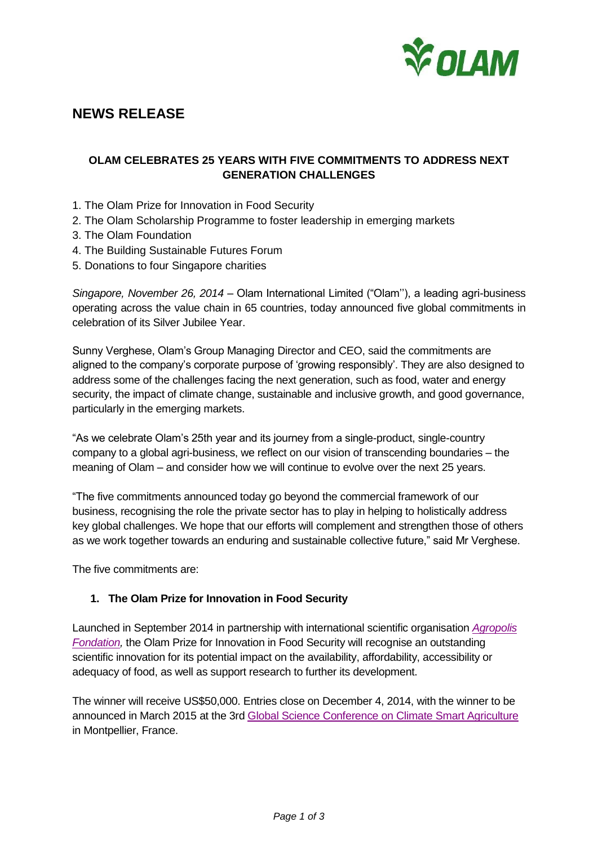

# **NEWS RELEASE**

# **OLAM CELEBRATES 25 YEARS WITH FIVE COMMITMENTS TO ADDRESS NEXT GENERATION CHALLENGES**

- 1. The Olam Prize for Innovation in Food Security
- 2. The Olam Scholarship Programme to foster leadership in emerging markets
- 3. The Olam Foundation
- 4. The Building Sustainable Futures Forum
- 5. Donations to four Singapore charities

*Singapore, November 26, 2014* – Olam International Limited ("Olam''), a leading agri-business operating across the value chain in 65 countries, today announced five global commitments in celebration of its Silver Jubilee Year.

Sunny Verghese, Olam's Group Managing Director and CEO, said the commitments are aligned to the company's corporate purpose of 'growing responsibly'. They are also designed to address some of the challenges facing the next generation, such as food, water and energy security, the impact of climate change, sustainable and inclusive growth, and good governance, particularly in the emerging markets.

"As we celebrate Olam's 25th year and its journey from a single-product, single-country company to a global agri-business, we reflect on our vision of transcending boundaries – the meaning of Olam – and consider how we will continue to evolve over the next 25 years.

"The five commitments announced today go beyond the commercial framework of our business, recognising the role the private sector has to play in helping to holistically address key global challenges. We hope that our efforts will complement and strengthen those of others as we work together towards an enduring and sustainable collective future," said Mr Verghese.

The five commitments are:

#### **1. The Olam Prize for Innovation in Food Security**

Launched in September 2014 in partnership with international scientific organisation *[Agropolis](http://www.agropolis-fondation.fr/)  [Fondation,](http://www.agropolis-fondation.fr/)* the Olam Prize for Innovation in Food Security will recognise an outstanding scientific innovation for its potential impact on the availability, affordability, accessibility or adequacy of food, as well as support research to further its development.

The winner will receive US\$50,000. Entries close on December 4, 2014, with the winner to be announced in March 2015 at the 3rd [Global Science Conference on Climate Smart Agriculture](http://csa2015.cirad.fr/) in Montpellier, France.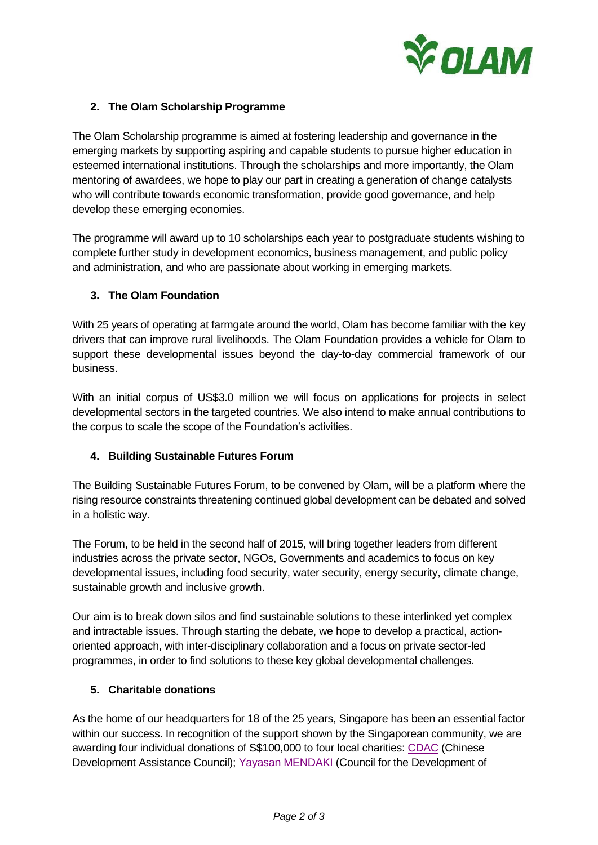

## **2. The Olam Scholarship Programme**

The Olam Scholarship programme is aimed at fostering leadership and governance in the emerging markets by supporting aspiring and capable students to pursue higher education in esteemed international institutions. Through the scholarships and more importantly, the Olam mentoring of awardees, we hope to play our part in creating a generation of change catalysts who will contribute towards economic transformation, provide good governance, and help develop these emerging economies.

The programme will award up to 10 scholarships each year to postgraduate students wishing to complete further study in development economics, business management, and public policy and administration, and who are passionate about working in emerging markets.

#### **3. The Olam Foundation**

With 25 years of operating at farmgate around the world, Olam has become familiar with the key drivers that can improve rural livelihoods. The Olam Foundation provides a vehicle for Olam to support these developmental issues beyond the day-to-day commercial framework of our business.

With an initial corpus of US\$3.0 million we will focus on applications for projects in select developmental sectors in the targeted countries. We also intend to make annual contributions to the corpus to scale the scope of the Foundation's activities.

# **4. Building Sustainable Futures Forum**

The Building Sustainable Futures Forum, to be convened by Olam, will be a platform where the rising resource constraints threatening continued global development can be debated and solved in a holistic way.

The Forum, to be held in the second half of 2015, will bring together leaders from different industries across the private sector, NGOs, Governments and academics to focus on key developmental issues, including food security, water security, energy security, climate change, sustainable growth and inclusive growth.

Our aim is to break down silos and find sustainable solutions to these interlinked yet complex and intractable issues. Through starting the debate, we hope to develop a practical, actionoriented approach, with inter-disciplinary collaboration and a focus on private sector-led programmes, in order to find solutions to these key global developmental challenges.

#### **5. Charitable donations**

As the home of our headquarters for 18 of the 25 years, Singapore has been an essential factor within our success. In recognition of the support shown by the Singaporean community, we are awarding four individual donations of S\$100,000 to four local charities: [CDAC](http://www.cdac.org.sg/) (Chinese Development Assistance Council); [Yayasan MENDAKI](http://www.mendaki.org.sg/) (Council for the Development of